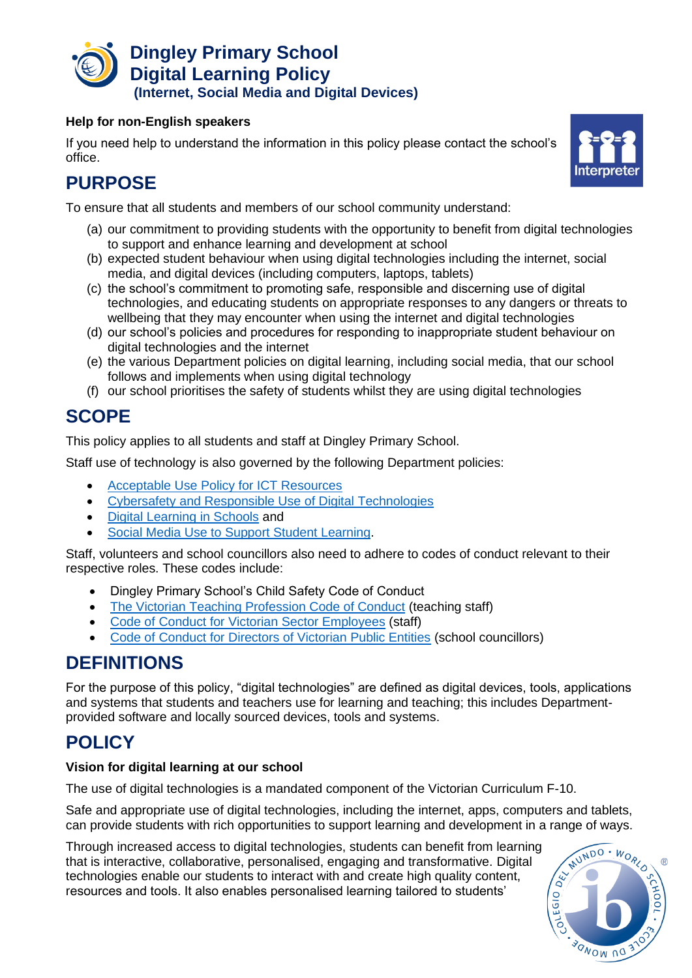

### **Help for non-English speakers**

If you need help to understand the information in this policy please contact the school's office.



# **PURPOSE**

To ensure that all students and members of our school community understand:

- (a) our commitment to providing students with the opportunity to benefit from digital technologies to support and enhance learning and development at school
- (b) expected student behaviour when using digital technologies including the internet, social media, and digital devices (including computers, laptops, tablets)
- (c) the school's commitment to promoting safe, responsible and discerning use of digital technologies, and educating students on appropriate responses to any dangers or threats to wellbeing that they may encounter when using the internet and digital technologies
- (d) our school's policies and procedures for responding to inappropriate student behaviour on digital technologies and the internet
- (e) the various Department policies on digital learning, including social media, that our school follows and implements when using digital technology
- (f) our school prioritises the safety of students whilst they are using digital technologies

# **SCOPE**

This policy applies to all students and staff at Dingley Primary School.

Staff use of technology is also governed by the following Department policies:

- [Acceptable Use Policy for ICT Resources](https://www2.education.vic.gov.au/pal/ict-acceptable-use/overview)
- [Cybersafety and Responsible Use of Digital Technologies](https://www2.education.vic.gov.au/pal/cybersafety/policy)
- [Digital Learning in Schools](https://www2.education.vic.gov.au/pal/digital-learning/policy) and
- [Social Media Use to Support Student Learning.](https://www2.education.vic.gov.au/pal/social-media/policy)

Staff, volunteers and school councillors also need to adhere to codes of conduct relevant to their respective roles. These codes include:

- Dingley Primary School's Child Safety Code of Conduct
- [The Victorian Teaching Profession Code of Conduct](https://www.vit.vic.edu.au/__data/assets/pdf_file/0018/35604/Code-of-Conduct-2016.pdf) (teaching staff)
- [Code of Conduct for Victorian Sector Employees](https://www2.education.vic.gov.au/pal/code-conduct/overview) (staff)
- [Code of Conduct for Directors of Victorian Public Entities](https://www2.education.vic.gov.au/pal/school-council-conduct/policy) (school councillors)

# **DEFINITIONS**

For the purpose of this policy, "digital technologies" are defined as digital devices, tools, applications and systems that students and teachers use for learning and teaching; this includes Departmentprovided software and locally sourced devices, tools and systems.

# **POLICY**

### **Vision for digital learning at our school**

The use of digital technologies is a mandated component of the Victorian Curriculum F-10.

Safe and appropriate use of digital technologies, including the internet, apps, computers and tablets, can provide students with rich opportunities to support learning and development in a range of ways.

Through increased access to digital technologies, students can benefit from learning that is interactive, collaborative, personalised, engaging and transformative. Digital technologies enable our students to interact with and create high quality content, resources and tools. It also enables personalised learning tailored to students'

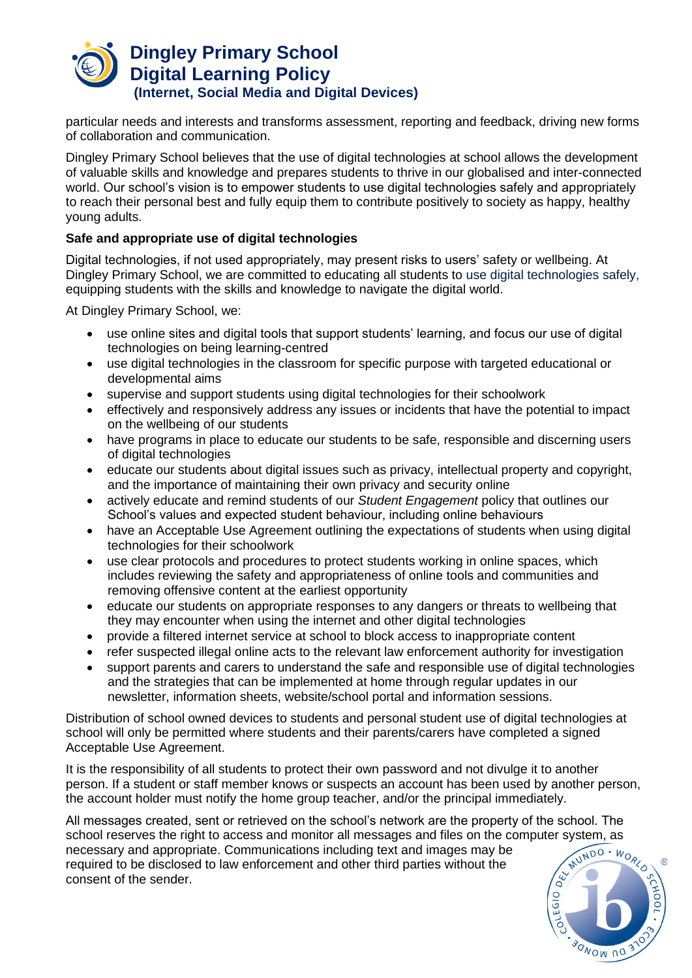

particular needs and interests and transforms assessment, reporting and feedback, driving new forms of collaboration and communication.

Dingley Primary School believes that the use of digital technologies at school allows the development of valuable skills and knowledge and prepares students to thrive in our globalised and inter-connected world. Our school's vision is to empower students to use digital technologies safely and appropriately to reach their personal best and fully equip them to contribute positively to society as happy, healthy young adults.

### **Safe and appropriate use of digital technologies**

Digital technologies, if not used appropriately, may present risks to users' safety or wellbeing. At Dingley Primary School, we are committed to educating all students to use digital technologies safely, equipping students with the skills and knowledge to navigate the digital world.

At Dingley Primary School, we:

- use online sites and digital tools that support students' learning, and focus our use of digital technologies on being learning-centred
- use digital technologies in the classroom for specific purpose with targeted educational or developmental aims
- supervise and support students using digital technologies for their schoolwork
- effectively and responsively address any issues or incidents that have the potential to impact on the wellbeing of our students
- have programs in place to educate our students to be safe, responsible and discerning users of digital technologies
- educate our students about digital issues such as privacy, intellectual property and copyright, and the importance of maintaining their own privacy and security online
- actively educate and remind students of our *Student Engagement* policy that outlines our School's values and expected student behaviour, including online behaviours
- have an Acceptable Use Agreement outlining the expectations of students when using digital technologies for their schoolwork
- use clear protocols and procedures to protect students working in online spaces, which includes reviewing the safety and appropriateness of online tools and communities and removing offensive content at the earliest opportunity
- educate our students on appropriate responses to any dangers or threats to wellbeing that they may encounter when using the internet and other digital technologies
- provide a filtered internet service at school to block access to inappropriate content
- refer suspected illegal online acts to the relevant law enforcement authority for investigation
- support parents and carers to understand the safe and responsible use of digital technologies and the strategies that can be implemented at home through regular updates in our newsletter, information sheets, website/school portal and information sessions.

Distribution of school owned devices to students and personal student use of digital technologies at school will only be permitted where students and their parents/carers have completed a signed Acceptable Use Agreement.

It is the responsibility of all students to protect their own password and not divulge it to another person. If a student or staff member knows or suspects an account has been used by another person, the account holder must notify the home group teacher, and/or the principal immediately.

All messages created, sent or retrieved on the school's network are the property of the school. The school reserves the right to access and monitor all messages and files on the computer system, as<br>necessary and appropriate. Communications including text and images may be<br>required to be disclosed to law enforcement and necessary and appropriate. Communications including text and images may be required to be disclosed to law enforcement and other third parties without the consent of the sender.

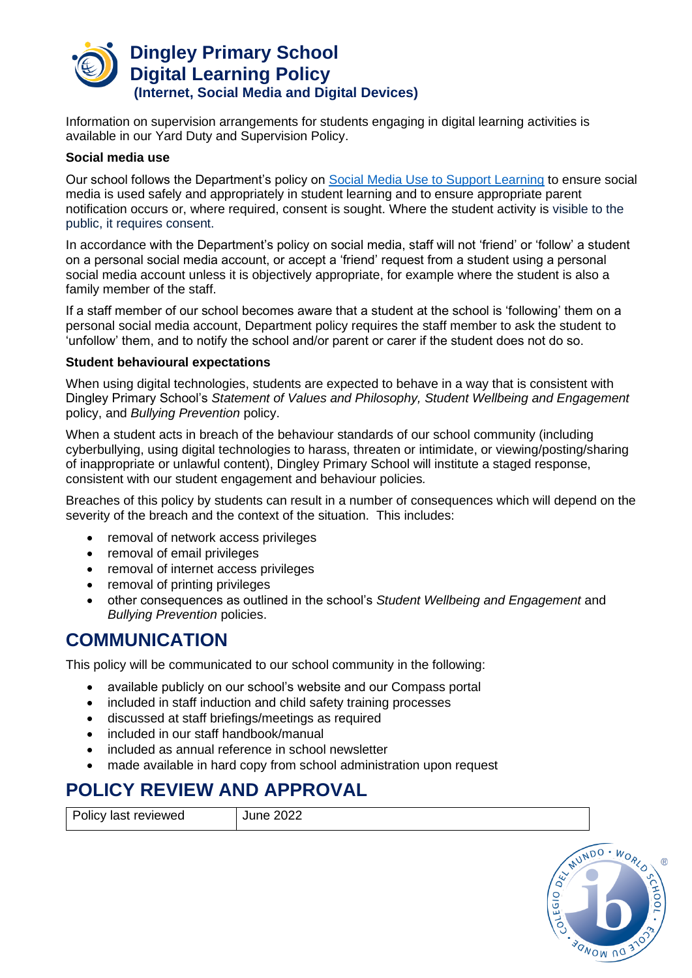

Information on supervision arrangements for students engaging in digital learning activities is available in our Yard Duty and Supervision Policy.

### **Social media use**

Our school follows the Department's policy on [Social Media Use to Support Learning](https://www2.education.vic.gov.au/pal/social-media/policy) to ensure social media is used safely and appropriately in student learning and to ensure appropriate parent notification occurs or, where required, consent is sought. Where the student activity is visible to the public, it requires consent.

In accordance with the Department's policy on social media, staff will not 'friend' or 'follow' a student on a personal social media account, or accept a 'friend' request from a student using a personal social media account unless it is objectively appropriate, for example where the student is also a family member of the staff.

If a staff member of our school becomes aware that a student at the school is 'following' them on a personal social media account, Department policy requires the staff member to ask the student to 'unfollow' them, and to notify the school and/or parent or carer if the student does not do so.

### **Student behavioural expectations**

When using digital technologies, students are expected to behave in a way that is consistent with Dingley Primary School's *Statement of Values and Philosophy, Student Wellbeing and Engagement* policy, and *Bullying Prevention* policy.

When a student acts in breach of the behaviour standards of our school community (including cyberbullying, using digital technologies to harass, threaten or intimidate, or viewing/posting/sharing of inappropriate or unlawful content), Dingley Primary School will institute a staged response, consistent with our student engagement and behaviour policies*.*

Breaches of this policy by students can result in a number of consequences which will depend on the severity of the breach and the context of the situation. This includes:

- removal of network access privileges
- removal of email privileges
- removal of internet access privileges
- removal of printing privileges
- other consequences as outlined in the school's *Student Wellbeing and Engagement* and *Bullying Prevention* policies.

# **COMMUNICATION**

This policy will be communicated to our school community in the following:

- available publicly on our school's website and our Compass portal
- included in staff induction and child safety training processes
- discussed at staff briefings/meetings as required
- included in our staff handbook/manual
- included as annual reference in school newsletter
- made available in hard copy from school administration upon request

# **POLICY REVIEW AND APPROVAL**

Policy last reviewed June 2022

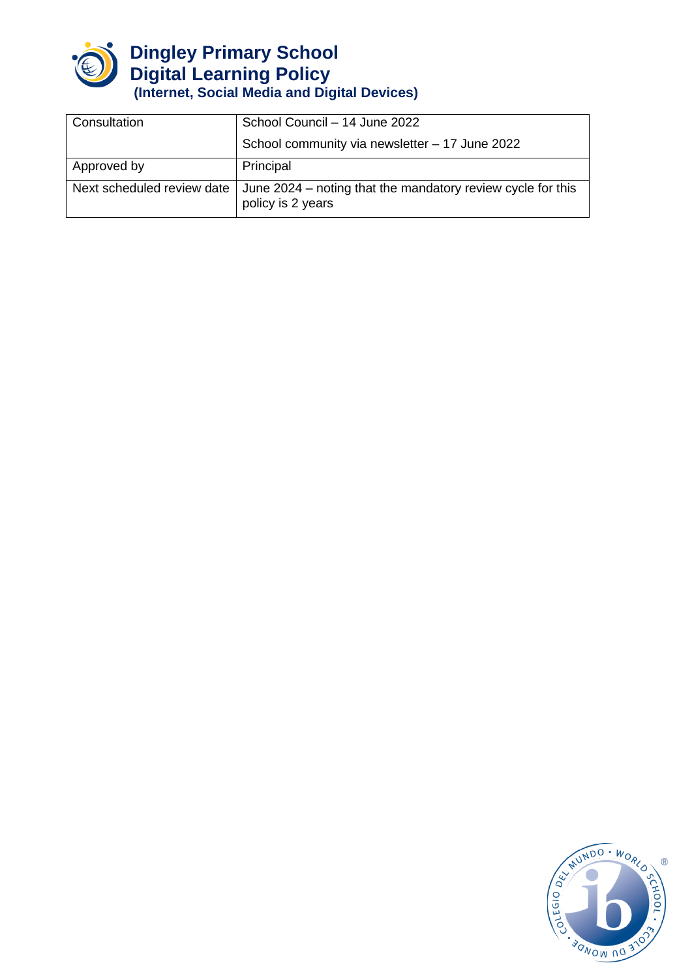

| Consultation               | School Council - 14 June 2022                                                    |
|----------------------------|----------------------------------------------------------------------------------|
|                            | School community via newsletter - 17 June 2022                                   |
| Approved by                | Principal                                                                        |
| Next scheduled review date | June 2024 – noting that the mandatory review cycle for this<br>policy is 2 years |

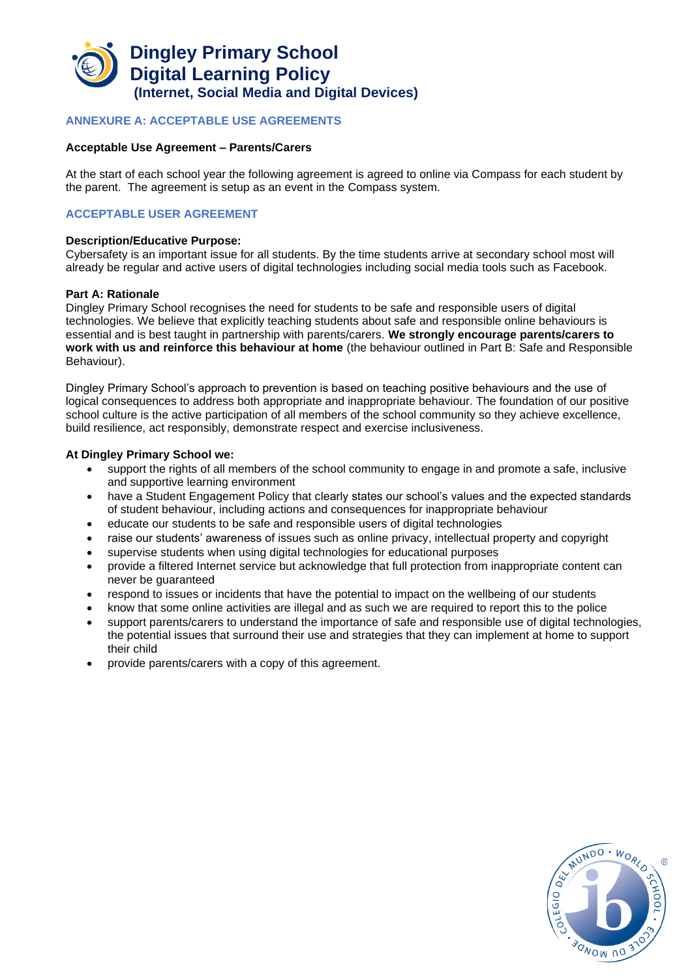

#### **ANNEXURE A: ACCEPTABLE USE AGREEMENTS**

#### **Acceptable Use Agreement – Parents/Carers**

At the start of each school year the following agreement is agreed to online via Compass for each student by the parent. The agreement is setup as an event in the Compass system.

#### **ACCEPTABLE USER AGREEMENT**

#### **Description/Educative Purpose:**

Cybersafety is an important issue for all students. By the time students arrive at secondary school most will already be regular and active users of digital technologies including social media tools such as Facebook.

#### **Part A: Rationale**

Dingley Primary School recognises the need for students to be safe and responsible users of digital technologies. We believe that explicitly teaching students about safe and responsible online behaviours is essential and is best taught in partnership with parents/carers. **We strongly encourage parents/carers to work with us and reinforce this behaviour at home** (the behaviour outlined in Part B: Safe and Responsible Behaviour).

Dingley Primary School's approach to prevention is based on teaching positive behaviours and the use of logical consequences to address both appropriate and inappropriate behaviour. The foundation of our positive school culture is the active participation of all members of the school community so they achieve excellence, build resilience, act responsibly, demonstrate respect and exercise inclusiveness.

#### **At Dingley Primary School we:**

- support the rights of all members of the school community to engage in and promote a safe, inclusive and supportive learning environment
- have a Student Engagement Policy that clearly states our school's values and the expected standards of student behaviour, including actions and consequences for inappropriate behaviour
- educate our students to be safe and responsible users of digital technologies
- raise our students' awareness of issues such as online privacy, intellectual property and copyright
- supervise students when using digital technologies for educational purposes
- provide a filtered Internet service but acknowledge that full protection from inappropriate content can never be guaranteed
- respond to issues or incidents that have the potential to impact on the wellbeing of our students
- know that some online activities are illegal and as such we are required to report this to the police
- support parents/carers to understand the importance of safe and responsible use of digital technologies, the potential issues that surround their use and strategies that they can implement at home to support their child
- provide parents/carers with a copy of this agreement.

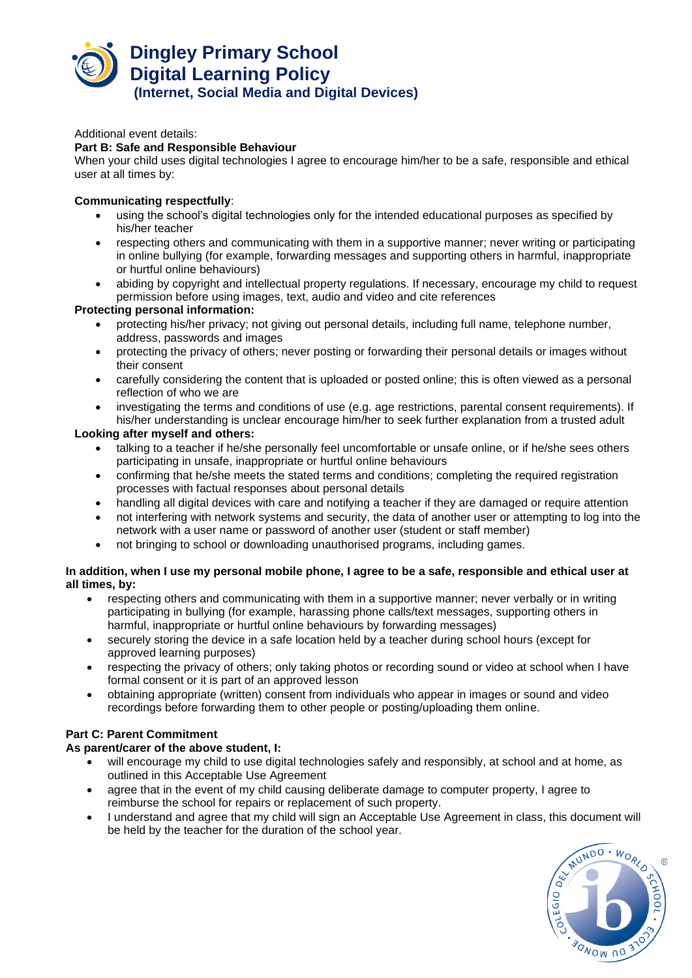

Additional event details:

#### **Part B: Safe and Responsible Behaviour**

When your child uses digital technologies I agree to encourage him/her to be a safe, responsible and ethical user at all times by:

#### **Communicating respectfully**:

- using the school's digital technologies only for the intended educational purposes as specified by his/her teacher
- respecting others and communicating with them in a supportive manner; never writing or participating in online bullying (for example, forwarding messages and supporting others in harmful, inappropriate or hurtful online behaviours)
- abiding by copyright and intellectual property regulations. If necessary, encourage my child to request permission before using images, text, audio and video and cite references

#### **Protecting personal information:**

- protecting his/her privacy; not giving out personal details, including full name, telephone number, address, passwords and images
- protecting the privacy of others; never posting or forwarding their personal details or images without their consent
- carefully considering the content that is uploaded or posted online; this is often viewed as a personal reflection of who we are
- investigating the terms and conditions of use (e.g. age restrictions, parental consent requirements). If his/her understanding is unclear encourage him/her to seek further explanation from a trusted adult

#### **Looking after myself and others:**

- talking to a teacher if he/she personally feel uncomfortable or unsafe online, or if he/she sees others participating in unsafe, inappropriate or hurtful online behaviours
- confirming that he/she meets the stated terms and conditions; completing the required registration processes with factual responses about personal details
- handling all digital devices with care and notifying a teacher if they are damaged or require attention
- not interfering with network systems and security, the data of another user or attempting to log into the network with a user name or password of another user (student or staff member)
- not bringing to school or downloading unauthorised programs, including games.

#### **In addition, when I use my personal mobile phone, I agree to be a safe, responsible and ethical user at all times, by:**

- respecting others and communicating with them in a supportive manner; never verbally or in writing participating in bullying (for example, harassing phone calls/text messages, supporting others in harmful, inappropriate or hurtful online behaviours by forwarding messages)
- securely storing the device in a safe location held by a teacher during school hours (except for approved learning purposes)
- respecting the privacy of others; only taking photos or recording sound or video at school when I have formal consent or it is part of an approved lesson
- obtaining appropriate (written) consent from individuals who appear in images or sound and video recordings before forwarding them to other people or posting/uploading them online.

### **Part C: Parent Commitment**

#### **As parent/carer of the above student, I:**

- will encourage my child to use digital technologies safely and responsibly, at school and at home, as outlined in this Acceptable Use Agreement
- agree that in the event of my child causing deliberate damage to computer property, I agree to reimburse the school for repairs or replacement of such property.
- I understand and agree that my child will sign an Acceptable Use Agreement in class, this document will be held by the teacher for the duration of the school year.

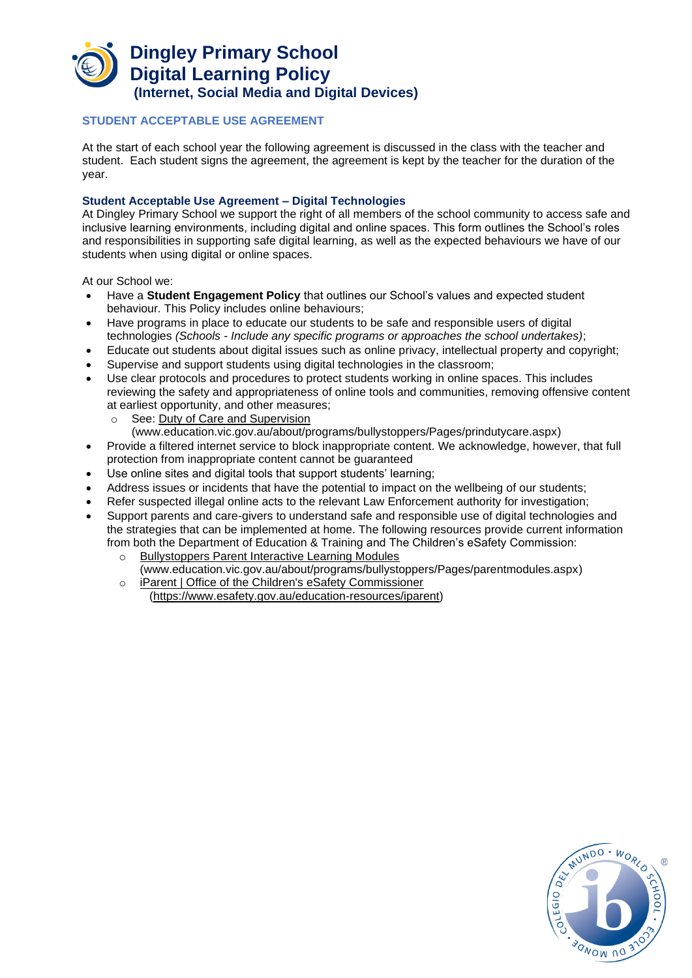### **STUDENT ACCEPTABLE USE AGREEMENT**

At the start of each school year the following agreement is discussed in the class with the teacher and student. Each student signs the agreement, the agreement is kept by the teacher for the duration of the year.

#### **Student Acceptable Use Agreement – Digital Technologies**

At Dingley Primary School we support the right of all members of the school community to access safe and inclusive learning environments, including digital and online spaces. This form outlines the School's roles and responsibilities in supporting safe digital learning, as well as the expected behaviours we have of our students when using digital or online spaces.

At our School we:

- Have a **Student Engagement Policy** that outlines our School's values and expected student behaviour. This Policy includes online behaviours;
- Have programs in place to educate our students to be safe and responsible users of digital technologies *(Schools - Include any specific programs or approaches the school undertakes)*;
- Educate out students about digital issues such as online privacy, intellectual property and copyright;
- Supervise and support students using digital technologies in the classroom;
- Use clear protocols and procedures to protect students working in online spaces. This includes reviewing the safety and appropriateness of online tools and communities, removing offensive content at earliest opportunity, and other measures;
	- o See: [Duty of Care and Supervision](http://www.education.vic.gov.au/about/programs/bullystoppers/Pages/prindutycare.aspx) 
		- [\(www.education.vic.gov.au/about/programs/bullystoppers/Pages/prindutycare.aspx\)](http://www.education.vic.gov.au/about/programs/bullystoppers/Pages/prindutycare.aspx)
- Provide a filtered internet service to block inappropriate content. We acknowledge, however, that full protection from inappropriate content cannot be guaranteed
- Use online sites and digital tools that support students' learning;
- Address issues or incidents that have the potential to impact on the wellbeing of our students;
- Refer suspected illegal online acts to the relevant Law Enforcement authority for investigation;
- Support parents and care-givers to understand safe and responsible use of digital technologies and the strategies that can be implemented at home. The following resources provide current information from both the [Department of Education & Training](http://www.education.vic.gov.au/about/programs/bullystoppers/Pages/parentmodules.aspx) and The Children's eSafety Commission:
	- o [Bullystoppers Parent Interactive Learning Modules](http://www.education.vic.gov.au/about/programs/bullystoppers/Pages/parentmodules.aspx) [\(www.education.vic.gov.au/about/programs/bullystoppers/Pages/parentmodules.aspx\)](http://www.education.vic.gov.au/about/programs/bullystoppers/Pages/parentmodules.aspx)
	- o [iParent | Office of the Children's eSafety Commissioner](https://www.esafety.gov.au/education-resources/iparent) [\(https://www.esafety.gov.au/education-resources/iparent\)](https://www.esafety.gov.au/education-resources/iparent)

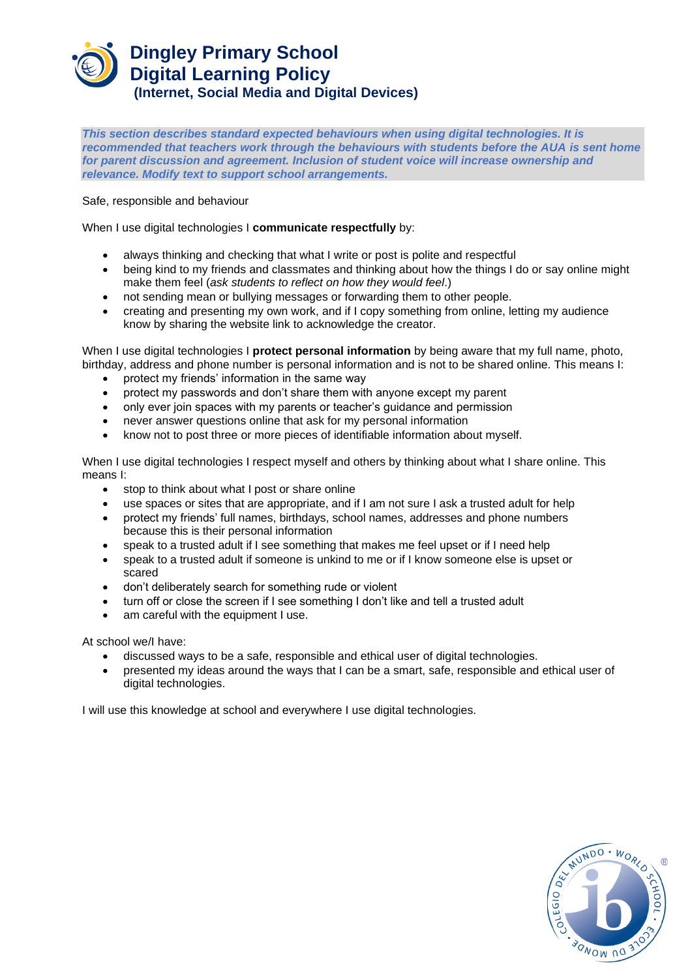*This section describes standard expected behaviours when using digital technologies. It is*  recommended that teachers work through the behaviours with students before the AUA is sent home *for parent discussion and agreement. Inclusion of student voice will increase ownership and relevance. Modify text to support school arrangements.* 

Safe, responsible and behaviour

When I use digital technologies I **communicate respectfully** by:

- always thinking and checking that what I write or post is polite and respectful
- being kind to my friends and classmates and thinking about how the things I do or say online might make them feel (*ask students to reflect on how they would feel*.)
- not sending mean or bullying messages or forwarding them to other people.
- creating and presenting my own work, and if I copy something from online, letting my audience know by sharing the website link to acknowledge the creator.

When I use digital technologies I **protect personal information** by being aware that my full name, photo, birthday, address and phone number is personal information and is not to be shared online. This means I:

- protect my friends' information in the same way
- protect my passwords and don't share them with anyone except my parent
- only ever join spaces with my parents or teacher's guidance and permission
- never answer questions online that ask for my personal information
- know not to post three or more pieces of identifiable information about myself.

When I use digital technologies I respect myself and others by thinking about what I share online. This means I:

- stop to think about what I post or share online
- use spaces or sites that are appropriate, and if I am not sure I ask a trusted adult for help
- protect my friends' full names, birthdays, school names, addresses and phone numbers because this is their personal information
- speak to a trusted adult if I see something that makes me feel upset or if I need help
- speak to a trusted adult if someone is unkind to me or if I know someone else is upset or scared
- don't deliberately search for something rude or violent
- turn off or close the screen if I see something I don't like and tell a trusted adult
- am careful with the equipment I use.

At school we/I have:

- discussed ways to be a safe, responsible and ethical user of digital technologies.
- presented my ideas around the ways that I can be a smart, safe, responsible and ethical user of digital technologies.

I will use this knowledge at school and everywhere I use digital technologies.

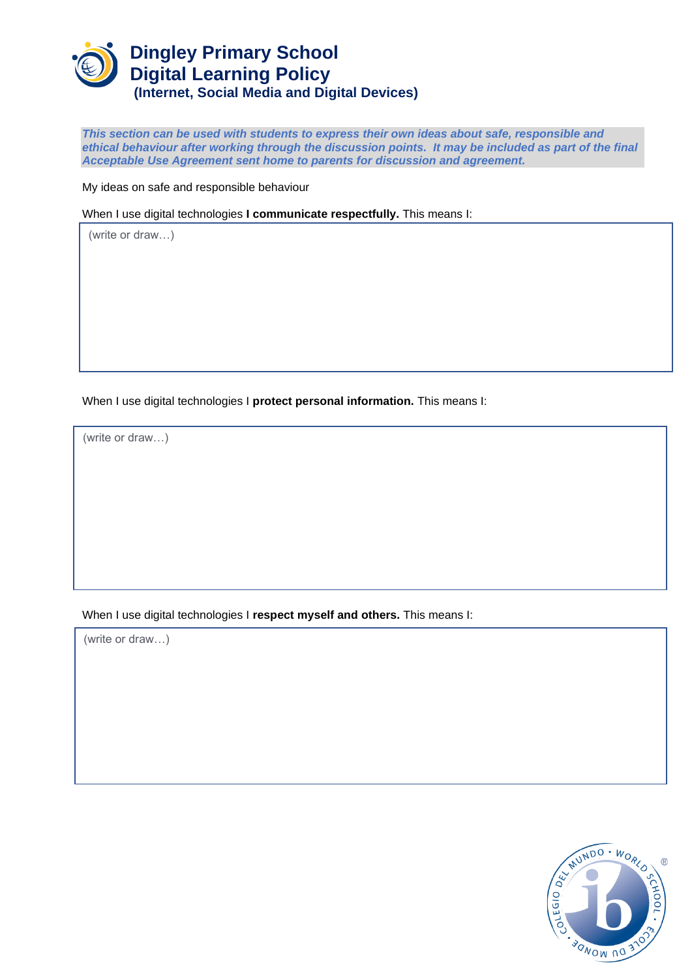

*This section can be used with students to express their own ideas about safe, responsible and ethical behaviour after working through the discussion points. It may be included as part of the final Acceptable Use Agreement sent home to parents for discussion and agreement.* 

My ideas on safe and responsible behaviour

When I use digital technologies **I communicate respectfully.** This means I:

(write or draw…)

When I use digital technologies I **protect personal information.** This means I:

(write or draw…)

### When I use digital technologies I **respect myself and others.** This means I:

(write or draw…)